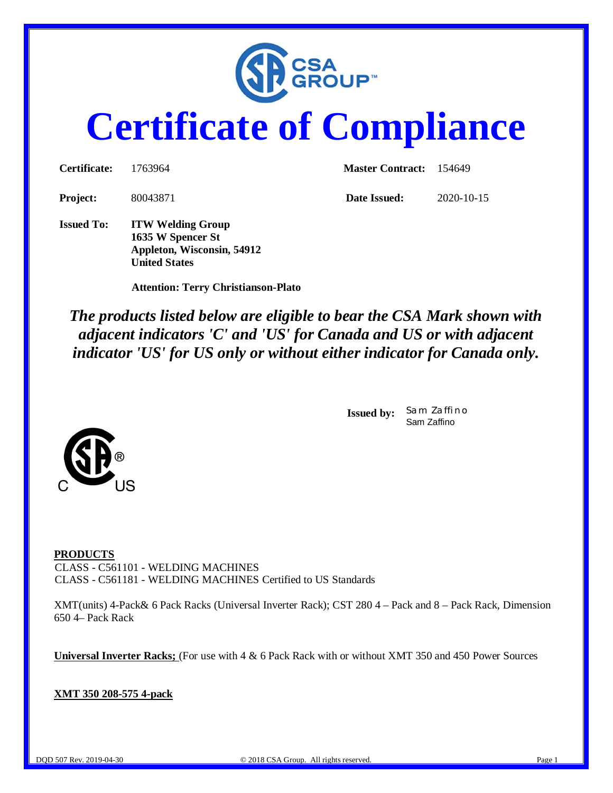

# **Certificate of Compliance**

| <b>Certificate:</b> | 1763964                                                                     | <b>Master Contract:</b> 154649 |                  |  |
|---------------------|-----------------------------------------------------------------------------|--------------------------------|------------------|--|
| <b>Project:</b>     | 80043871                                                                    | Date Issued:                   | $2020 - 10 - 15$ |  |
| <b>Issued To:</b>   | <b>ITW Welding Group</b><br>1635 W Spencer St<br>Appleton, Wisconsin, 54912 |                                |                  |  |

 **Attention: Terry Christianson-Plato**

**United States**

*The products listed below are eligible to bear the CSA Mark shown with adjacent indicators 'C' and 'US' for Canada and US or with adjacent indicator 'US' for US only or without either indicator for Canada only.*

> **Issued by:** *Sam Zaffino* Sam Zaffino



**PRODUCTS** CLASS - C561101 - WELDING MACHINES CLASS - C561181 - WELDING MACHINES Certified to US Standards

XMT(units) 4-Pack& 6 Pack Racks (Universal Inverter Rack); CST 280 4 – Pack and 8 – Pack Rack, Dimension 650 4– Pack Rack

**Universal Inverter Racks;** (For use with 4 & 6 Pack Rack with or without XMT 350 and 450 Power Sources

**XMT 350 208-575 4-pack**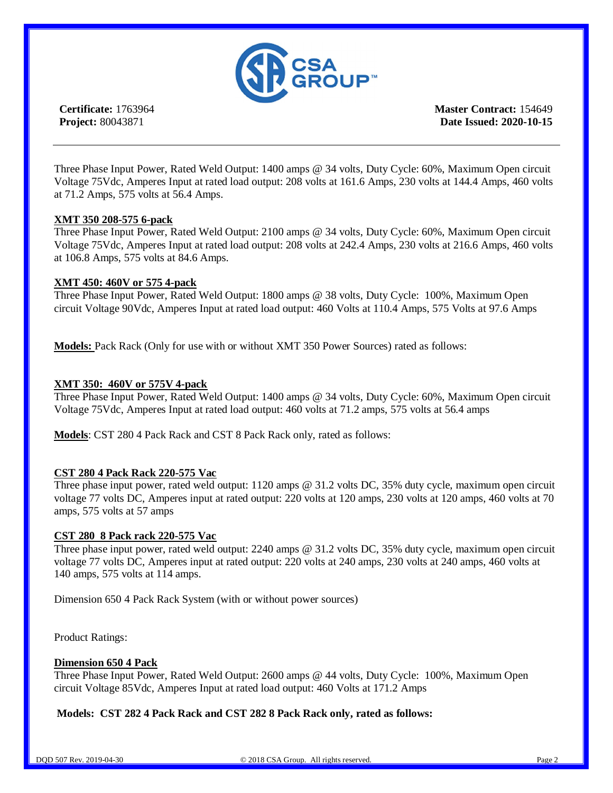

**Certificate:** 1763964 **Project:** 80043871

**Master Contract:** 154649 **Date Issued: 2020-10-15**

Three Phase Input Power, Rated Weld Output: 1400 amps @ 34 volts, Duty Cycle: 60%, Maximum Open circuit Voltage 75Vdc, Amperes Input at rated load output: 208 volts at 161.6 Amps, 230 volts at 144.4 Amps, 460 volts at 71.2 Amps, 575 volts at 56.4 Amps.

#### **XMT 350 208-575 6-pack**

Three Phase Input Power, Rated Weld Output: 2100 amps @ 34 volts, Duty Cycle: 60%, Maximum Open circuit Voltage 75Vdc, Amperes Input at rated load output: 208 volts at 242.4 Amps, 230 volts at 216.6 Amps, 460 volts at 106.8 Amps, 575 volts at 84.6 Amps.

#### **XMT 450: 460V or 575 4-pack**

Three Phase Input Power, Rated Weld Output: 1800 amps @ 38 volts, Duty Cycle: 100%, Maximum Open circuit Voltage 90Vdc, Amperes Input at rated load output: 460 Volts at 110.4 Amps, 575 Volts at 97.6 Amps

**Models:** Pack Rack (Only for use with or without XMT 350 Power Sources) rated as follows:

#### **XMT 350: 460V or 575V 4-pack**

Three Phase Input Power, Rated Weld Output: 1400 amps @ 34 volts, Duty Cycle: 60%, Maximum Open circuit Voltage 75Vdc, Amperes Input at rated load output: 460 volts at 71.2 amps, 575 volts at 56.4 amps

**Models**: CST 280 4 Pack Rack and CST 8 Pack Rack only, rated as follows:

#### **CST 280 4 Pack Rack 220-575 Vac**

Three phase input power, rated weld output: 1120 amps @ 31.2 volts DC, 35% duty cycle, maximum open circuit voltage 77 volts DC, Amperes input at rated output: 220 volts at 120 amps, 230 volts at 120 amps, 460 volts at 70 amps, 575 volts at 57 amps

#### **CST 280 8 Pack rack 220-575 Vac**

Three phase input power, rated weld output: 2240 amps @ 31.2 volts DC, 35% duty cycle, maximum open circuit voltage 77 volts DC, Amperes input at rated output: 220 volts at 240 amps, 230 volts at 240 amps, 460 volts at 140 amps, 575 volts at 114 amps.

Dimension 650 4 Pack Rack System (with or without power sources)

Product Ratings:

#### **Dimension 650 4 Pack**

Three Phase Input Power, Rated Weld Output: 2600 amps @ 44 volts, Duty Cycle: 100%, Maximum Open circuit Voltage 85Vdc, Amperes Input at rated load output: 460 Volts at 171.2 Amps

#### **Models: CST 282 4 Pack Rack and CST 282 8 Pack Rack only, rated as follows:**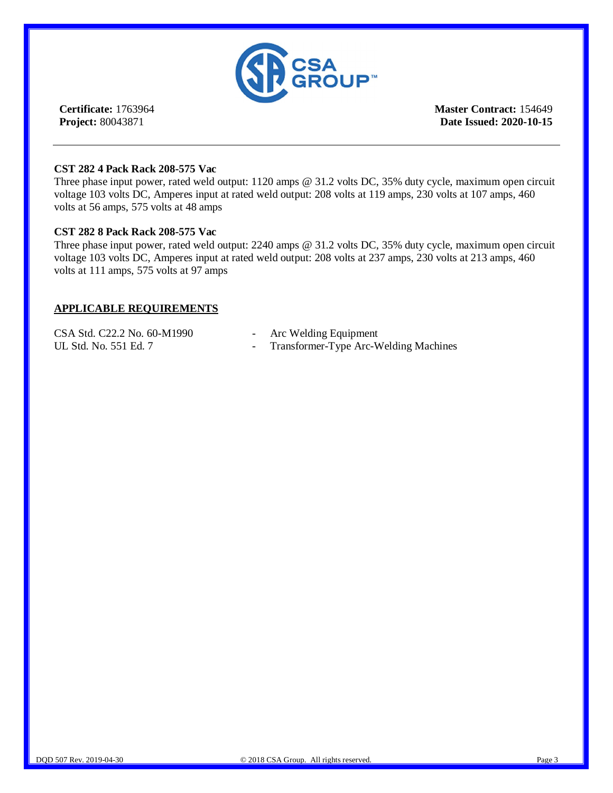

**Certificate:** 1763964 **Project:** 80043871

**Master Contract:** 154649 **Date Issued: 2020-10-15**

#### **CST 282 4 Pack Rack 208-575 Vac**

Three phase input power, rated weld output: 1120 amps @ 31.2 volts DC, 35% duty cycle, maximum open circuit voltage 103 volts DC, Amperes input at rated weld output: 208 volts at 119 amps, 230 volts at 107 amps, 460 volts at 56 amps, 575 volts at 48 amps

#### **CST 282 8 Pack Rack 208-575 Vac**

Three phase input power, rated weld output: 2240 amps @ 31.2 volts DC, 35% duty cycle, maximum open circuit voltage 103 volts DC, Amperes input at rated weld output: 208 volts at 237 amps, 230 volts at 213 amps, 460 volts at 111 amps, 575 volts at 97 amps

#### **APPLICABLE REQUIREMENTS**

| CSA Std. C22.2 No. 60-M1990 | - Arc Welding Equipment                 |
|-----------------------------|-----------------------------------------|
| UL Std. No. 551 Ed. 7       | - Transformer-Type Arc-Welding Machines |